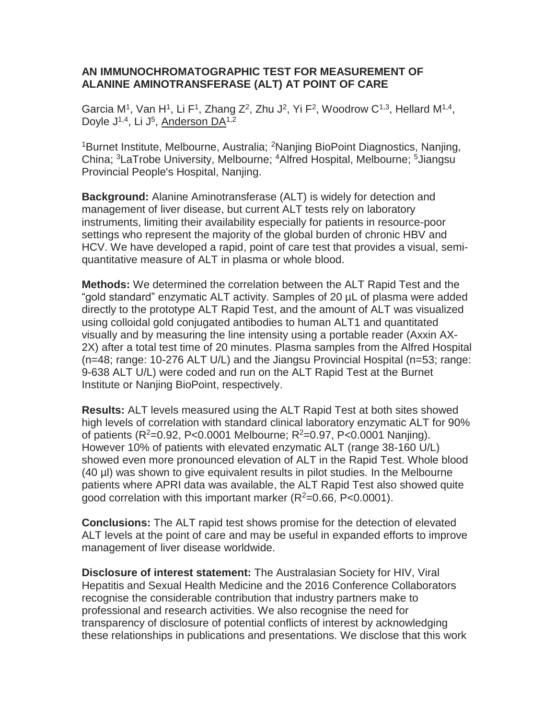## **AN IMMUNOCHROMATOGRAPHIC TEST FOR MEASUREMENT OF ALANINE AMINOTRANSFERASE (ALT) AT POINT OF CARE**

Garcia M<sup>1</sup>, Van H<sup>1</sup>, Li F<sup>1</sup>, Zhang Z<sup>2</sup>, Zhu J<sup>2</sup>, Yi F<sup>2</sup>, Woodrow C<sup>1,3</sup>, Hellard M<sup>1,4</sup>, Doyle J<sup>1,4</sup>, Li J<sup>5</sup>, Anderson DA<sup>1,2</sup>

<sup>1</sup>Burnet Institute, Melbourne, Australia; <sup>2</sup>Nanjing BioPoint Diagnostics, Nanjing, China; <sup>3</sup>LaTrobe University, Melbourne; <sup>4</sup>Alfred Hospital, Melbourne; <sup>5</sup>Jiangsu Provincial People's Hospital, Nanjing.

**Background:** Alanine Aminotransferase (ALT) is widely for detection and management of liver disease, but current ALT tests rely on laboratory instruments, limiting their availability especially for patients in resource-poor settings who represent the majority of the global burden of chronic HBV and HCV. We have developed a rapid, point of care test that provides a visual, semiquantitative measure of ALT in plasma or whole blood.

**Methods:** We determined the correlation between the ALT Rapid Test and the "gold standard" enzymatic ALT activity. Samples of 20 µL of plasma were added directly to the prototype ALT Rapid Test, and the amount of ALT was visualized using colloidal gold conjugated antibodies to human ALT1 and quantitated visually and by measuring the line intensity using a portable reader (Axxin AX-2X) after a total test time of 20 minutes. Plasma samples from the Alfred Hospital (n=48; range: 10-276 ALT U/L) and the Jiangsu Provincial Hospital (n=53; range: 9-638 ALT U/L) were coded and run on the ALT Rapid Test at the Burnet Institute or Nanjing BioPoint, respectively.

**Results:** ALT levels measured using the ALT Rapid Test at both sites showed high levels of correlation with standard clinical laboratory enzymatic ALT for 90% of patients ( $R^2$ =0.92, P<0.0001 Melbourne;  $R^2$ =0.97, P<0.0001 Nanjing). However 10% of patients with elevated enzymatic ALT (range 38-160 U/L) showed even more pronounced elevation of ALT in the Rapid Test. Whole blood (40 µl) was shown to give equivalent results in pilot studies. In the Melbourne patients where APRI data was available, the ALT Rapid Test also showed quite good correlation with this important marker  $(R^2=0.66, P<0.0001)$ .

**Conclusions:** The ALT rapid test shows promise for the detection of elevated ALT levels at the point of care and may be useful in expanded efforts to improve management of liver disease worldwide.

**Disclosure of interest statement:** The Australasian Society for HIV, Viral Hepatitis and Sexual Health Medicine and the 2016 Conference Collaborators recognise the considerable contribution that industry partners make to professional and research activities. We also recognise the need for transparency of disclosure of potential conflicts of interest by acknowledging these relationships in publications and presentations. We disclose that this work